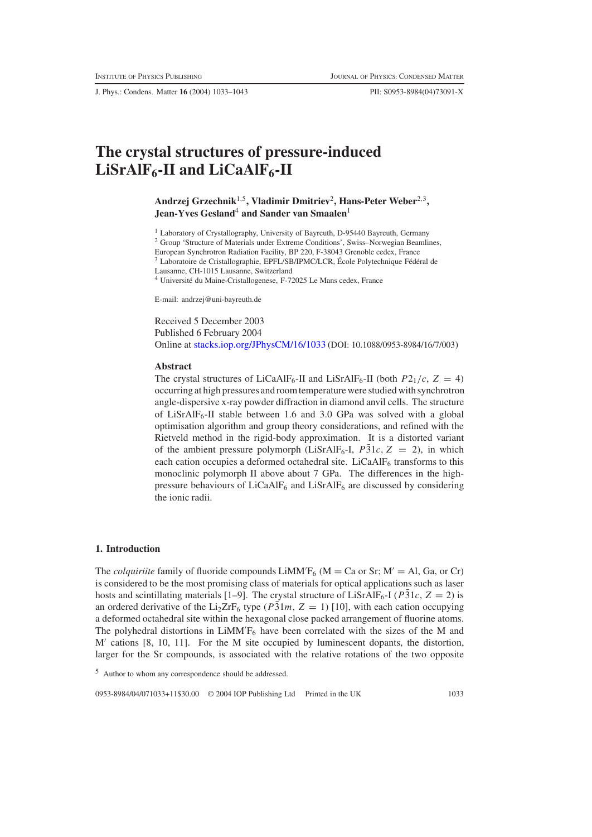J. Phys.: Condens. Matter **16** (2004) 1033–1043 PII: S0953-8984(04)73091-X

# **The crystal structures of pressure-induced**  $LiSrAlF<sub>6</sub>$ -II and  $LiCaAlF<sub>6</sub>$ -II

## **Andrzej Grzechnik**1,5**, Vladimir Dmitriev**2**, Hans-Peter Weber**2,3**, Jean-Yves Gesland**<sup>4</sup> **and Sander van Smaalen**<sup>1</sup>

<sup>1</sup> Laboratory of Crystallography, University of Bayreuth, D-95440 Bayreuth, Germany <sup>2</sup> Group 'Structure of Materials under Extreme Conditions', Swiss–Norwegian Beamlines,

European Synchrotron Radiation Facility, BP 220, F-38043 Grenoble cedex, France Laboratoire de Cristallographie, EPFL/SB/IPMC/LCR, École Polytechnique Fédéral de

Lausanne, CH-1015 Lausanne, Switzerland

<sup>4</sup> Université du Maine-Cristallogenese, F-72025 Le Mans cedex, France

E-mail: andrzej@uni-bayreuth.de

Received 5 December 2003 Published 6 February 2004 Online at [stacks.iop.org/JPhysCM/16/1033](http://stacks.iop.org/JPhysCM/16/1033) (DOI: 10.1088/0953-8984/16/7/003)

#### **Abstract**

The crystal structures of LiCaAlF<sub>6</sub>-II and LiSrAlF<sub>6</sub>-II (both  $P2_1/c$ ,  $Z = 4$ ) occurring at high pressures and room temperature were studied with synchrotron angle-dispersive x-ray powder diffraction in diamond anvil cells. The structure of LiSrAlF<sub>6</sub>-II stable between 1.6 and 3.0 GPa was solved with a global optimisation algorithm and group theory considerations, and refined with the Rietveld method in the rigid-body approximation. It is a distorted variant of the ambient pressure polymorph (LiSrAlF<sub>6</sub>-I,  $P\overline{3}1c$ ,  $Z = 2$ ), in which each cation occupies a deformed octahedral site. LiCaAl $F_6$  transforms to this monoclinic polymorph II above about 7 GPa. The differences in the highpressure behaviours of LiCaAlF<sub>6</sub> and LiSrAlF<sub>6</sub> are discussed by considering the ionic radii.

#### **1. Introduction**

The *colquiriite* family of fluoride compounds  $LiMM'F_6$  (M = Ca or Sr; M' = Al, Ga, or Cr) is considered to be the most promising class of materials for optical applications such as laser hosts and scintillating materials [1–9]. The crystal structure of LiSrAlF<sub>6</sub>-I ( $P\bar{3}1c$ ,  $Z = 2$ ) is an ordered derivative of the Li<sub>2</sub>ZrF<sub>6</sub> type ( $P\bar{3}1m$ ,  $Z = 1$ ) [10], with each cation occupying a deformed octahedral site within the hexagonal close packed arrangement of fluorine atoms. The polyhedral distortions in  $LiMM'F_6$  have been correlated with the sizes of the M and  $M'$  cations [8, 10, 11]. For the M site occupied by luminescent dopants, the distortion, larger for the Sr compounds, is associated with the relative rotations of the two opposite

<sup>5</sup> Author to whom any correspondence should be addressed.

0953-8984/04/071033+11\$30.00 © 2004 IOP Publishing Ltd Printed in the UK 1033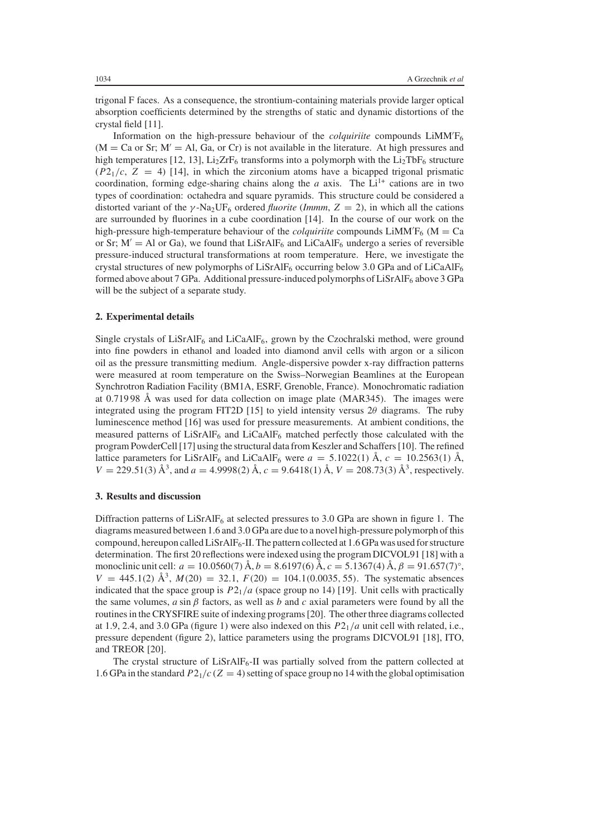trigonal F faces. As a consequence, the strontium-containing materials provide larger optical absorption coefficients determined by the strengths of static and dynamic distortions of the crystal field [11].

Information on the high-pressure behaviour of the *colquiriite* compounds LiMM F6  $(M = Ca$  or Sr;  $M' = Al$ , Ga, or Cr) is not available in the literature. At high pressures and high temperatures [12, 13],  $Li<sub>2</sub>ZrF<sub>6</sub>$  transforms into a polymorph with the  $Li<sub>2</sub>TbF<sub>6</sub>$  structure  $(P2<sub>1</sub>/c, Z = 4)$  [14], in which the zirconium atoms have a bicapped trigonal prismatic coordination, forming edge-sharing chains along the *a* axis. The  $Li<sup>1+</sup>$  cations are in two types of coordination: octahedra and square pyramids. This structure could be considered a distorted variant of the γ -Na2UF6 ordered *fluorite* (*Immm*, *Z* = 2), in which all the cations are surrounded by fluorines in a cube coordination [14]. In the course of our work on the high-pressure high-temperature behaviour of the *colquiriite* compounds  $LiMMF<sub>6</sub>$  (M = Ca or Sr;  $M' = A1$  or Ga), we found that LiSrAlF<sub>6</sub> and LiCaAlF<sub>6</sub> undergo a series of reversible pressure-induced structural transformations at room temperature. Here, we investigate the crystal structures of new polymorphs of LiSrAlF<sub>6</sub> occurring below 3.0 GPa and of LiCaAlF<sub>6</sub> formed above about 7 GPa. Additional pressure-induced polymorphs of  $LisrAlF_6$  above 3 GPa will be the subject of a separate study.

#### **2. Experimental details**

Single crystals of  $LiSrAlF<sub>6</sub>$  and  $LiCaAlF<sub>6</sub>$ , grown by the Czochralski method, were ground into fine powders in ethanol and loaded into diamond anvil cells with argon or a silicon oil as the pressure transmitting medium. Angle-dispersive powder x-ray diffraction patterns were measured at room temperature on the Swiss–Norwegian Beamlines at the European Synchrotron Radiation Facility (BM1A, ESRF, Grenoble, France). Monochromatic radiation at 0.719 98 Å was used for data collection on image plate (MAR345). The images were integrated using the program FIT2D [15] to yield intensity versus  $2\theta$  diagrams. The ruby luminescence method [16] was used for pressure measurements. At ambient conditions, the measured patterns of  $LiSrAlF<sub>6</sub>$  and  $LiCaAlF<sub>6</sub>$  matched perfectly those calculated with the program PowderCell [17] using the structural data from Keszler and Schaffers [10]. The refined lattice parameters for LiSrAlF<sub>6</sub> and LiCaAlF<sub>6</sub> were  $a = 5.1022(1)$  Å,  $c = 10.2563(1)$  Å,  $V = 229.51(3)$   $\AA^3$ , and  $a = 4.9998(2)$   $\AA$ ,  $c = 9.6418(1)$   $\AA$ ,  $V = 208.73(3)$   $\AA^3$ , respectively.

#### **3. Results and discussion**

Diffraction patterns of  $LiSrAlF<sub>6</sub>$  at selected pressures to 3.0 GPa are shown in figure 1. The diagrams measured between 1.6 and 3.0 GPa are due to a novel high-pressure polymorph of this compound, hereupon called  $LisrAlF<sub>6</sub>-II$ . The pattern collected at 1.6 GPa was used for structure determination. The first 20 reflections were indexed using the program DICVOL91 [18] with a monoclinic unit cell:  $a = 10.0560(7)$  Å,  $b = 8.6197(6)$  Å,  $c = 5.1367(4)$  Å,  $\beta = 91.657(7)$ °,  $V = 445.1(2)$   $\AA^3$ ,  $M(20) = 32.1$ ,  $F(20) = 104.1(0.0035, 55)$ . The systematic absences indicated that the space group is  $P2_1/a$  (space group no 14) [19]. Unit cells with practically the same volumes,  $a \sin \beta$  factors, as well as  $b$  and  $c$  axial parameters were found by all the routines in the CRYSFIRE suite of indexing programs [20]. The other three diagrams collected at 1.9, 2.4, and 3.0 GPa (figure 1) were also indexed on this *P*21/*a* unit cell with related, i.e., pressure dependent (figure 2), lattice parameters using the programs DICVOL91 [18], ITO, and TREOR [20].

The crystal structure of  $LiSrAlF<sub>6</sub>-II$  was partially solved from the pattern collected at 1.6 GPa in the standard  $P2_1/c$  ( $Z = 4$ ) setting of space group no 14 with the global optimisation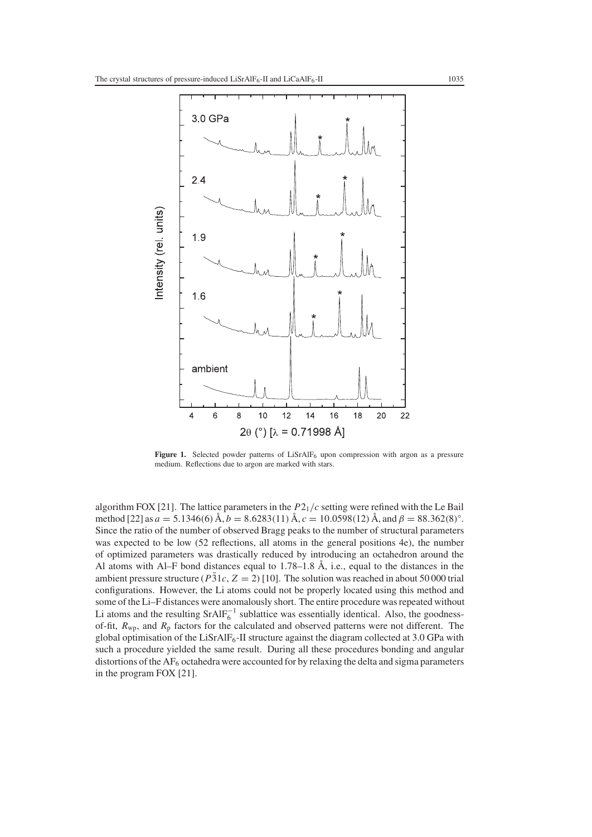

**Figure 1.** Selected powder patterns of  $LisrAIF<sub>6</sub>$  upon compression with argon as a pressure medium. Reflections due to argon are marked with stars.

algorithm FOX [21]. The lattice parameters in the *P*21/*c* setting were refined with the Le Bail method [22] as  $a = 5.1346(6)$  Å,  $b = 8.6283(11)$  Å,  $c = 10.0598(12)$  Å, and  $\beta = 88.362(8)$ °. Since the ratio of the number of observed Bragg peaks to the number of structural parameters was expected to be low (52 reflections, all atoms in the general positions 4e), the number of optimized parameters was drastically reduced by introducing an octahedron around the Al atoms with Al–F bond distances equal to 1.78–1.8 Å, i.e., equal to the distances in the ambient pressure structure ( $P\bar{3}1c$ ,  $Z = 2$ ) [10]. The solution was reached in about 50 000 trial configurations. However, the Li atoms could not be properly located using this method and some of the Li–F distances were anomalously short. The entire procedure was repeated without Li atoms and the resulting  $SrAlF_6^{-1}$  sublattice was essentially identical. Also, the goodnessof-fit, *R*wp, and *R*<sup>p</sup> factors for the calculated and observed patterns were not different. The global optimisation of the LiSrAlF<sub>6</sub>-II structure against the diagram collected at 3.0 GPa with such a procedure yielded the same result. During all these procedures bonding and angular distortions of the  $AF<sub>6</sub>$  octahedra were accounted for by relaxing the delta and sigma parameters in the program FOX [21].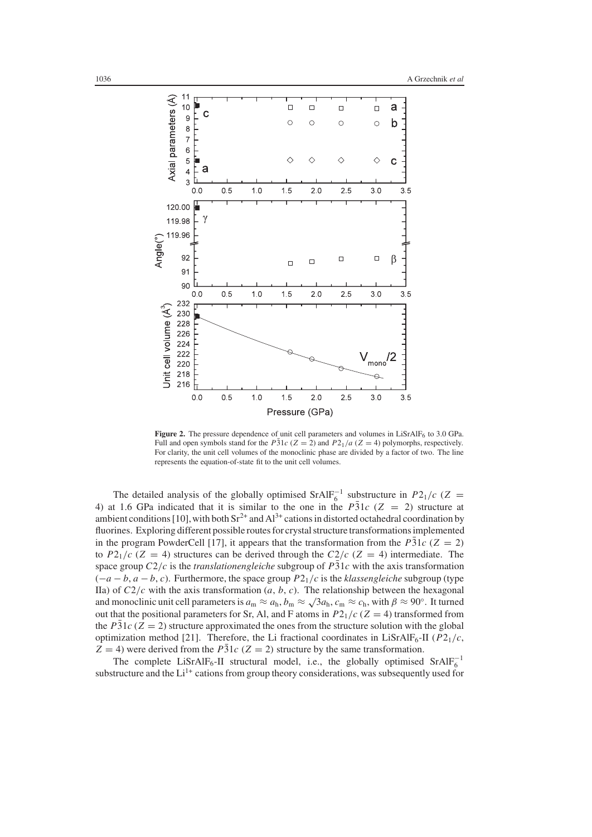

Figure 2. The pressure dependence of unit cell parameters and volumes in LiSrAlF<sub>6</sub> to 3.0 GPa. Full and open symbols stand for the  $P\bar{3}1c$  ( $Z = 2$ ) and  $P2_1/a$  ( $Z = 4$ ) polymorphs, respectively. For clarity, the unit cell volumes of the monoclinic phase are divided by a factor of two. The line represents the equation-of-state fit to the unit cell volumes.

The detailed analysis of the globally optimised  $SrAlF_6^{-1}$  substructure in *P*2<sub>1</sub>/*c* (*Z* = 4) at 1.6 GPa indicated that it is similar to the one in the *P31c* ( $Z = 2$ ) structure at ambient conditions [10], with both  $Sr^{2+}$  and  $Al^{3+}$  cations in distorted octahedral coordination by fluorines. Exploring different possible routes for crystal structure transformations implemented in the program PowderCell [17], it appears that the transformation from the  $P\bar{3}1c$  ( $Z = 2$ ) to  $P2_1/c$  ( $Z = 4$ ) structures can be derived through the  $C2/c$  ( $Z = 4$ ) intermediate. The space group  $C2/c$  is the *translationengleiche* subgroup of  $P\overline{3}1c$  with the axis transformation  $(-a - b, a - b, c)$ . Furthermore, the space group  $P2<sub>1</sub>/c$  is the *klassengleiche* subgroup (type IIa) of  $C2/c$  with the axis transformation  $(a, b, c)$ . The relationship between the hexagonal and monoclinic unit cell parameters is  $a_m \approx a_h$ ,  $b_m \approx \sqrt{3}a_h$ ,  $c_m \approx c_h$ , with  $\beta \approx 90^\circ$ . It turned out that the positional parameters for Sr, Al, and F atoms in  $P2_1/c$  ( $Z = 4$ ) transformed from the  $P\bar{3}1c$  ( $Z = 2$ ) structure approximated the ones from the structure solution with the global optimization method [21]. Therefore, the Li fractional coordinates in LiSrAlF<sub>6</sub>-II ( $P2<sub>1</sub>/c$ ,  $Z = 4$ ) were derived from the  $P\bar{3}1c$  ( $Z = 2$ ) structure by the same transformation.

The complete LiSrAlF<sub>6</sub>-II structural model, i.e., the globally optimised SrAlF<sub>6</sub><sup>-1</sup> substructure and the  $Li^{1+}$  cations from group theory considerations, was subsequently used for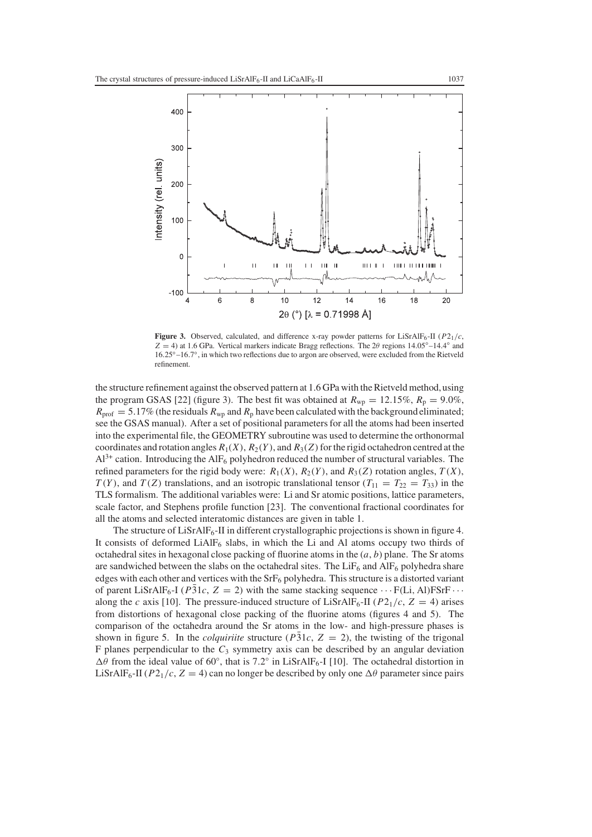

**Figure 3.** Observed, calculated, and difference x-ray powder patterns for LiSrAlF<sub>6</sub>-II ( $P2_1/c$ ,  $Z = 4$ ) at 1.6 GPa. Vertical markers indicate Bragg reflections. The 2 $\theta$  regions 14.05°–14.4° and 16.25◦–16.7◦, in which two reflections due to argon are observed, were excluded from the Rietveld refinement.

the structure refinement against the observed pattern at 1.6 GPa with the Rietveld method,using the program GSAS [22] (figure 3). The best fit was obtained at  $R_{wp} = 12.15\%$ ,  $R_p = 9.0\%$ ,  $R_{\text{prof}} = 5.17\%$  (the residuals  $R_{\text{wp}}$  and  $R_{\text{p}}$  have been calculated with the background eliminated; see the GSAS manual). After a set of positional parameters for all the atoms had been inserted into the experimental file, the GEOMETRY subroutine was used to determine the orthonormal coordinates and rotation angles  $R_1(X)$ ,  $R_2(Y)$ , and  $R_3(Z)$  for the rigid octahedron centred at the  $Al^{3+}$  cation. Introducing the AlF<sub>6</sub> polyhedron reduced the number of structural variables. The refined parameters for the rigid body were:  $R_1(X)$ ,  $R_2(Y)$ , and  $R_3(Z)$  rotation angles,  $T(X)$ , *T*(*Y*), and *T*(*Z*) translations, and an isotropic translational tensor ( $T_{11} = T_{22} = T_{33}$ ) in the TLS formalism. The additional variables were: Li and Sr atomic positions, lattice parameters, scale factor, and Stephens profile function [23]. The conventional fractional coordinates for all the atoms and selected interatomic distances are given in table 1.

The structure of LiSrAlF<sub>6</sub>-II in different crystallographic projections is shown in figure 4. It consists of deformed  $LiAlF<sub>6</sub>$  slabs, in which the Li and Al atoms occupy two thirds of octahedral sites in hexagonal close packing of fluorine atoms in the (*a*, *b*) plane. The Sr atoms are sandwiched between the slabs on the octahedral sites. The  $LiF<sub>6</sub>$  and  $AlF<sub>6</sub>$  polyhedra share edges with each other and vertices with the  $Srf_6$  polyhedra. This structure is a distorted variant of parent LiSrAlF<sub>6</sub>-I ( $P\overline{3}1c$ ,  $Z = 2$ ) with the same stacking sequence  $\cdots$  F(Li, Al)FSrF  $\cdots$ along the *c* axis [10]. The pressure-induced structure of LiSrAlF<sub>6</sub>-II ( $P2_1/c$ ,  $Z = 4$ ) arises from distortions of hexagonal close packing of the fluorine atoms (figures 4 and 5). The comparison of the octahedra around the Sr atoms in the low- and high-pressure phases is shown in figure 5. In the *colquiriite* structure ( $P\bar{3}1c$ ,  $Z = 2$ ), the twisting of the trigonal F planes perpendicular to the  $C_3$  symmetry axis can be described by an angular deviation  $\Delta\theta$  from the ideal value of 60°, that is 7.2° in LiSrAlF<sub>6</sub>-I [10]. The octahedral distortion in LiSrAlF<sub>6</sub>-II ( $P2_1/c$ ,  $Z = 4$ ) can no longer be described by only one  $\Delta\theta$  parameter since pairs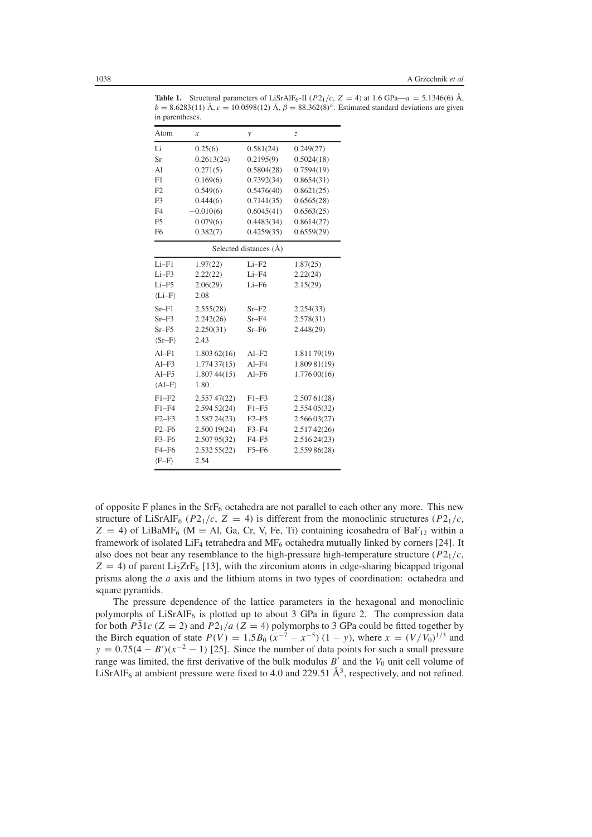| in parentneses.        |                  |                        |              |
|------------------------|------------------|------------------------|--------------|
| Atom                   | $\boldsymbol{x}$ | y                      | Z            |
| Li                     | 0.25(6)          | 0.581(24)              | 0.249(27)    |
| <b>Sr</b>              | 0.2613(24)       | 0.2195(9)              | 0.5024(18)   |
| A <sub>1</sub>         | 0.271(5)         | 0.5804(28)             | 0.7594(19)   |
| F1                     | 0.169(6)         | 0.7392(34)             | 0.8654(31)   |
| F2                     | 0.549(6)         | 0.5476(40)             | 0.8621(25)   |
| F3                     | 0.444(6)         | 0.7141(35)             | 0.6565(28)   |
| F <sub>4</sub>         | $-0.010(6)$      | 0.6045(41)             | 0.6563(25)   |
| F <sub>5</sub>         | 0.079(6)         | 0.4483(34)             | 0.8614(27)   |
| F <sub>6</sub>         | 0.382(7)         | 0.4259(35)             | 0.6559(29)   |
|                        |                  | Selected distances (A) |              |
| $Li-F1$                | 1.97(22)         | $Li-F2$                | 1.87(25)     |
| $Li-F3$                | 2.22(22)         | Li-F4                  | 2.22(24)     |
| $Li-F5$                | 2.06(29)         | $Li-F6$                | 2.15(29)     |
| $\langle Li-F \rangle$ | 2.08             |                        |              |
| $Sr-F1$                | 2.555(28)        | $Sr-F2$                | 2.254(33)    |
| $Sr-F3$                | 2.242(26)        | $Sr-F4$                | 2.578(31)    |
| $Sr-F5$                | 2.250(31)        | $Sr-F6$                | 2.448(29)    |
| $\langle Sr-F \rangle$ | 2.43             |                        |              |
| $Al-F1$                | 1.803 62(16)     | $AI-F2$                | 1.81179(19)  |
| $Al-F3$                | 1.77437(15)      | $Al-F4$                | 1.809 81(19) |
| $AI-F5$                | 1.80744(15)      | $Al-F6$                | 1.77600(16)  |
| $\langle Al-F \rangle$ | 1.80             |                        |              |
| $F1-F2$                | 2.55747(22)      | $F1-F3$                | 2.50761(28)  |
| $F1 - F4$              | 2.594 52(24)     | $F1-F5$                | 2.55405(32)  |
| $F2-F3$                | 2.58724(23)      | $F2-F5$                | 2.56603(27)  |
| $F2-F6$                | 2.500 19(24)     | $F3-F4$                | 2.51742(26)  |
| $F3-F6$                | 2.50795(32)      | $F4-F5$                | 2.51624(23)  |
| $F4-F6$                | 2.53255(22)      | $F5-F6$                | 2.559 86(28) |
| $(F-F)$                | 2.54             |                        |              |
|                        |                  |                        |              |

**Table 1.** Structural parameters of LiSrAlF<sub>6</sub>-II ( $P2_1/c$ ,  $Z = 4$ ) at 1.6 GPa— $a = 5.1346(6)$  Å,  $b = 8.6283(11)$  Å,  $c = 10.0598(12)$  Å,  $\beta = 88.362(8)°$ . Estimated standard deviations are given in parentheses.

of opposite F planes in the  $SrF<sub>6</sub>$  octahedra are not parallel to each other any more. This new structure of LiSrAlF<sub>6</sub> ( $P2_1/c$ ,  $Z = 4$ ) is different from the monoclinic structures ( $P2_1/c$ ,  $Z = 4$ ) of LiBaMF<sub>6</sub> (M = Al, Ga, Cr, V, Fe, Ti) containing icosahedra of BaF<sub>12</sub> within a framework of isolated LiF4 tetrahedra and MF6 octahedra mutually linked by corners [24]. It also does not bear any resemblance to the high-pressure high-temperature structure  $(P2<sub>1</sub>/c,$  $Z = 4$ ) of parent Li<sub>2</sub>ZrF<sub>6</sub> [13], with the zirconium atoms in edge-sharing bicapped trigonal prisms along the *a* axis and the lithium atoms in two types of coordination: octahedra and square pyramids.

The pressure dependence of the lattice parameters in the hexagonal and monoclinic polymorphs of  $LiSrAlF<sub>6</sub>$  is plotted up to about 3 GPa in figure 2. The compression data for both *P*31 $c$  ( $Z = 2$ ) and *P*2<sub>1</sub>/*a* ( $Z = 4$ ) polymorphs to 3 GPa could be fitted together by the Birch equation of state  $P(V) = 1.5B_0 (x^{-7} - x^{-5}) (1 - y)$ , where  $x = (V/V_0)^{1/3}$  and  $y = 0.75(4 - B')(x^{-2} - 1)$  [25]. Since the number of data points for such a small pressure range was limited, the first derivative of the bulk modulus  $B'$  and the  $V_0$  unit cell volume of LiSrAlF<sub>6</sub> at ambient pressure were fixed to 4.0 and 229.51  $\AA^3$ , respectively, and not refined.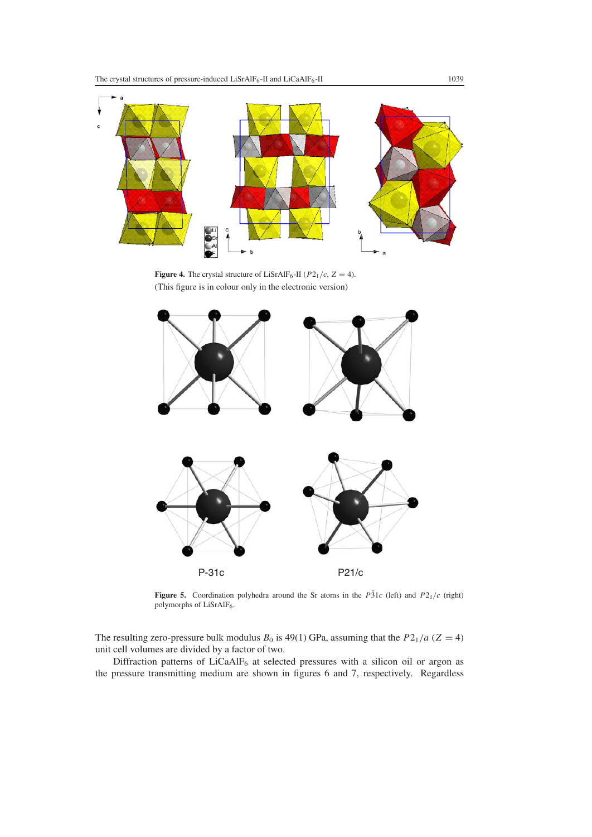

**Figure 4.** The crystal structure of LiSrAlF<sub>6</sub>-II ( $P2_1/c$ ,  $Z = 4$ ). (This figure is in colour only in the electronic version)



**Figure 5.** Coordination polyhedra around the Sr atoms in the  $P\overline{3}1c$  (left) and  $P2_1/c$  (right) polymorphs of LiSrAlF<sub>6</sub>.

The resulting zero-pressure bulk modulus  $B_0$  is 49(1) GPa, assuming that the  $P_0/2_1/a$  ( $Z = 4$ ) unit cell volumes are divided by a factor of two.

Diffraction patterns of LiCaAlF<sub>6</sub> at selected pressures with a silicon oil or argon as the pressure transmitting medium are shown in figures 6 and 7, respectively. Regardless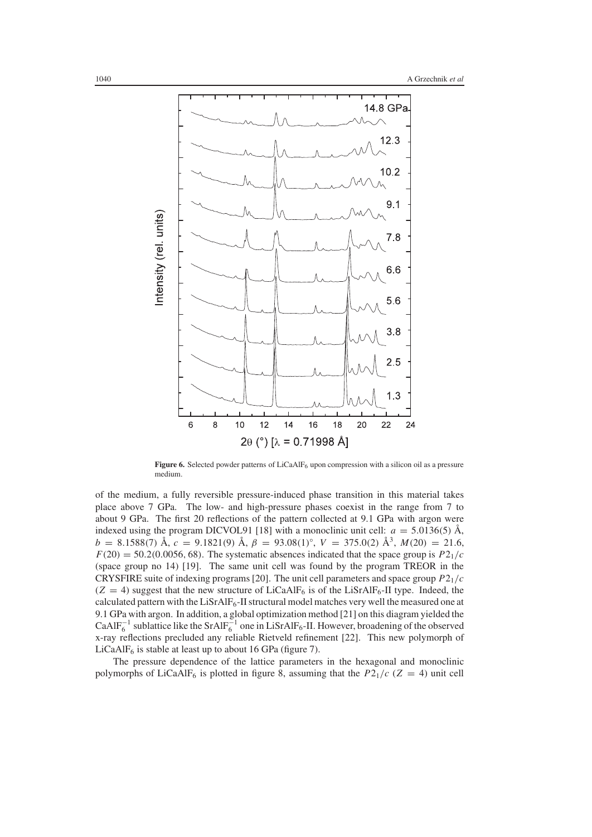

Figure 6. Selected powder patterns of LiCaAlF<sub>6</sub> upon compression with a silicon oil as a pressure medium.

of the medium, a fully reversible pressure-induced phase transition in this material takes place above 7 GPa. The low- and high-pressure phases coexist in the range from 7 to about 9 GPa. The first 20 reflections of the pattern collected at 9.1 GPa with argon were indexed using the program DICVOL91 [18] with a monoclinic unit cell:  $a = 5.0136(5)$  Å,  $b = 8.1588(7)$  Å,  $c = 9.1821(9)$  Å,  $\beta = 93.08(1)$ °,  $V = 375.0(2)$  Å<sup>3</sup>,  $M(20) = 21.6$ ,  $F(20) = 50.2(0.0056, 68)$ . The systematic absences indicated that the space group is  $P2_1/c$ (space group no 14) [19]. The same unit cell was found by the program TREOR in the CRYSFIRE suite of indexing programs [20]. The unit cell parameters and space group *P*21/*c*  $(Z = 4)$  suggest that the new structure of LiCaAlF<sub>6</sub> is of the LiSrAlF<sub>6</sub>-II type. Indeed, the calculated pattern with the  $LisrAlF<sub>6</sub>-II$  structural model matches very well the measured one at 9.1 GPa with argon. In addition, a global optimization method [21] on this diagram yielded the CaAlF<sub>6</sub><sup>-1</sup> sublattice like the SrAlF<sub>6</sub><sup>-1</sup> one in LiSrAlF<sub>6</sub>-II. However, broadening of the observed x-ray reflections precluded any reliable Rietveld refinement [22]. This new polymorph of LiCaAl $F_6$  is stable at least up to about 16 GPa (figure 7).

The pressure dependence of the lattice parameters in the hexagonal and monoclinic polymorphs of LiCaAlF<sub>6</sub> is plotted in figure 8, assuming that the  $P2_1/c$  ( $Z = 4$ ) unit cell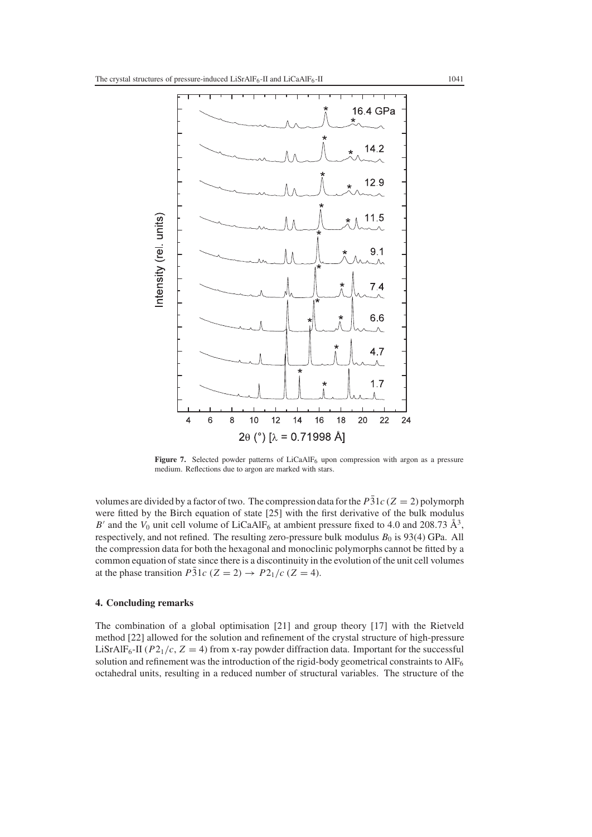

Figure 7. Selected powder patterns of LiCaAlF<sub>6</sub> upon compression with argon as a pressure medium. Reflections due to argon are marked with stars.

volumes are divided by a factor of two. The compression data for the  $P\bar{3}1c$  ( $Z = 2$ ) polymorph were fitted by the Birch equation of state [25] with the first derivative of the bulk modulus *B'* and the  $V_0$  unit cell volume of LiCaAlF<sub>6</sub> at ambient pressure fixed to 4.0 and 208.73  $\AA^3$ , respectively, and not refined. The resulting zero-pressure bulk modulus  $B_0$  is 93(4) GPa. All the compression data for both the hexagonal and monoclinic polymorphs cannot be fitted by a common equation of state since there is a discontinuity in the evolution of the unit cell volumes at the phase transition *P*31 $c$  (*Z* = 2)  $\rightarrow$  *P*2<sub>1</sub>/ $c$  (*Z* = 4).

## **4. Concluding remarks**

The combination of a global optimisation [21] and group theory [17] with the Rietveld method [22] allowed for the solution and refinement of the crystal structure of high-pressure LiSrAlF<sub>6</sub>-II ( $P2_1/c$ ,  $Z = 4$ ) from x-ray powder diffraction data. Important for the successful solution and refinement was the introduction of the rigid-body geometrical constraints to  $\text{AIF}_6$ octahedral units, resulting in a reduced number of structural variables. The structure of the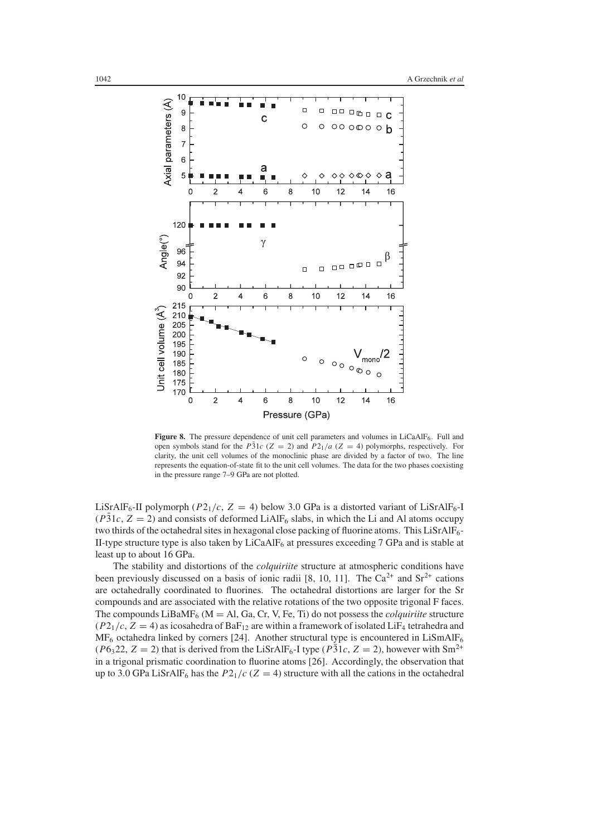

**Figure 8.** The pressure dependence of unit cell parameters and volumes in LiCaAlF<sub>6</sub>. Full and open symbols stand for the  $P\overline{3}1c$  ( $Z = 2$ ) and  $P2_1/a$  ( $Z = 4$ ) polymorphs, respectively. For clarity, the unit cell volumes of the monoclinic phase are divided by a factor of two. The line represents the equation-of-state fit to the unit cell volumes. The data for the two phases coexisting in the pressure range 7–9 GPa are not plotted.

LiSrAlF<sub>6</sub>-II polymorph ( $P2_1/c$ ,  $Z = 4$ ) below 3.0 GPa is a distorted variant of LiSrAlF<sub>6</sub>-I ( $P31c$ ,  $Z = 2$ ) and consists of deformed LiAlF<sub>6</sub> slabs, in which the Li and Al atoms occupy two thirds of the octahedral sites in hexagonal close packing of fluorine atoms. This LiSrAlF6-II-type structure type is also taken by LiCaAlF6 at pressures exceeding 7 GPa and is stable at least up to about 16 GPa.

The stability and distortions of the *colquiriite* structure at atmospheric conditions have been previously discussed on a basis of ionic radii [8, 10, 11]. The  $Ca^{2+}$  and  $Sr^{2+}$  cations are octahedrally coordinated to fluorines. The octahedral distortions are larger for the Sr compounds and are associated with the relative rotations of the two opposite trigonal F faces. The compounds  $LiBaMF_6$  ( $M = Al$ , Ga, Cr, V, Fe, Ti) do not possess the *colquiriite* structure  $(P2<sub>1</sub>/c, Z = 4)$  as icosahedra of BaF<sub>12</sub> are within a framework of isolated LiF<sub>4</sub> tetrahedra and  $MF<sub>6</sub>$  octahedra linked by corners [24]. Another structural type is encountered in LiSmAlF<sub>6</sub>  $(P6<sub>3</sub>22, Z = 2)$  that is derived from the LiSrAlF<sub>6</sub>-I type  $(P\overline{3}1c, Z = 2)$ , however with Sm<sup>2+</sup> in a trigonal prismatic coordination to fluorine atoms [26]. Accordingly, the observation that up to 3.0 GPa LiSrAlF<sub>6</sub> has the  $P2_1/c$  ( $Z = 4$ ) structure with all the cations in the octahedral